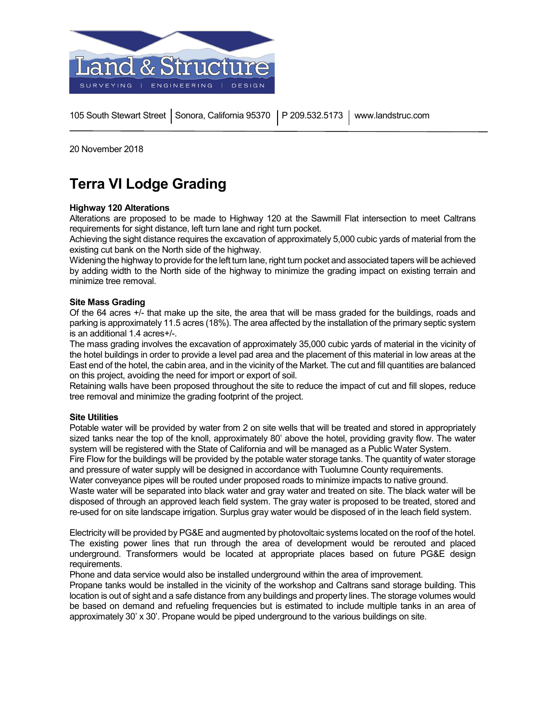

105 South Stewart Street | Sonora, California 95370 Y P 209.532.5173 | www.landstruc.com

20 November 2018

# **Terra VI Lodge Grading**

# **Highway 120 Alterations**

Alterations are proposed to be made to Highway 120 at the Sawmill Flat intersection to meet Caltrans requirements for sight distance, left turn lane and right turn pocket.

Achieving the sight distance requires the excavation of approximately 5,000 cubic yards of material from the existing cut bank on the North side of the highway.

Widening the highway to provide for the left turn lane, right turn pocket and associated tapers will be achieved by adding width to the North side of the highway to minimize the grading impact on existing terrain and minimize tree removal.

## **Site Mass Grading**

Of the 64 acres +/- that make up the site, the area that will be mass graded for the buildings, roads and parking is approximately 11.5 acres (18%). The area affected by the installation of the primary septic system is an additional 1.4 acres+/-.

The mass grading involves the excavation of approximately 35,000 cubic yards of material in the vicinity of the hotel buildings in order to provide a level pad area and the placement of this material in low areas at the East end of the hotel, the cabin area, and in the vicinity of the Market. The cut and fill quantities are balanced on this project, avoiding the need for import or export of soil.

Retaining walls have been proposed throughout the site to reduce the impact of cut and fill slopes, reduce tree removal and minimize the grading footprint of the project.

## **Site Utilities**

Potable water will be provided by water from 2 on site wells that will be treated and stored in appropriately sized tanks near the top of the knoll, approximately 80' above the hotel, providing gravity flow. The water system will be registered with the State of California and will be managed as a Public Water System. Fire Flow for the buildings will be provided by the potable water storage tanks. The quantity of water storage

and pressure of water supply will be designed in accordance with Tuolumne County requirements.

Water conveyance pipes will be routed under proposed roads to minimize impacts to native ground. Waste water will be separated into black water and gray water and treated on site. The black water will be disposed of through an approved leach field system. The gray water is proposed to be treated, stored and re-used for on site landscape irrigation. Surplus gray water would be disposed of in the leach field system.

Electricity will be provided by PG&E and augmented by photovoltaic systems located on the roof of the hotel. The existing power lines that run through the area of development would be rerouted and placed underground. Transformers would be located at appropriate places based on future PG&E design requirements.

Phone and data service would also be installed underground within the area of improvement.

Propane tanks would be installed in the vicinity of the workshop and Caltrans sand storage building. This location is out of sight and a safe distance from any buildings and property lines. The storage volumes would be based on demand and refueling frequencies but is estimated to include multiple tanks in an area of approximately 30' x 30'. Propane would be piped underground to the various buildings on site.